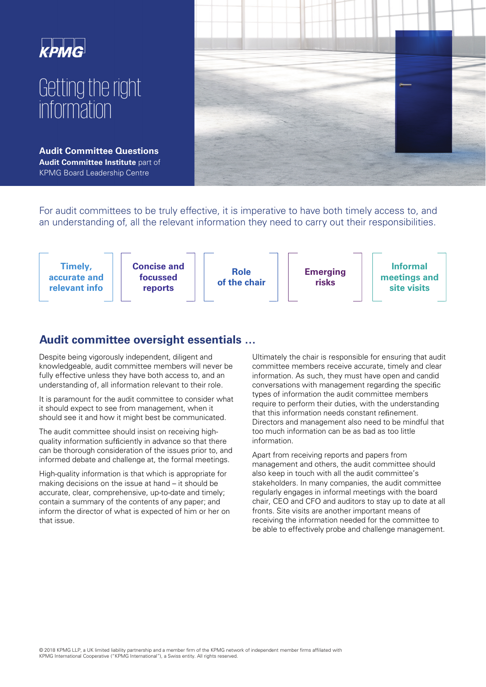

For audit committees to be truly effective, it is imperative to have both timely access to, and an understanding of, all the relevant information they need to carry out their responsibilities.



# **Audit committee oversight essentials …**

Despite being vigorously independent, diligent and knowledgeable, audit committee members will never be fully effective unless they have both access to, and an understanding of, all information relevant to their role.

It is paramount for the audit committee to consider what it should expect to see from management, when it should see it and how it might best be communicated.

The audit committee should insist on receiving highquality information sufficiently in advance so that there can be thorough consideration of the issues prior to, and informed debate and challenge at, the formal meetings.

High-quality information is that which is appropriate for making decisions on the issue at hand – it should be accurate, clear, comprehensive, up-to-date and timely; contain a summary of the contents of any paper; and inform the director of what is expected of him or her on that issue.

Ultimately the chair is responsible for ensuring that audit committee members receive accurate, timely and clear information. As such, they must have open and candid conversations with management regarding the specific types of information the audit committee members require to perform their duties, with the understanding that this information needs constant refinement. Directors and management also need to be mindful that too much information can be as bad as too little information.

Apart from receiving reports and papers from management and others, the audit committee should also keep in touch with all the audit committee's stakeholders. In many companies, the audit committee regularly engages in informal meetings with the board chair, CEO and CFO and auditors to stay up to date at all fronts. Site visits are another important means of receiving the information needed for the committee to be able to effectively probe and challenge management.